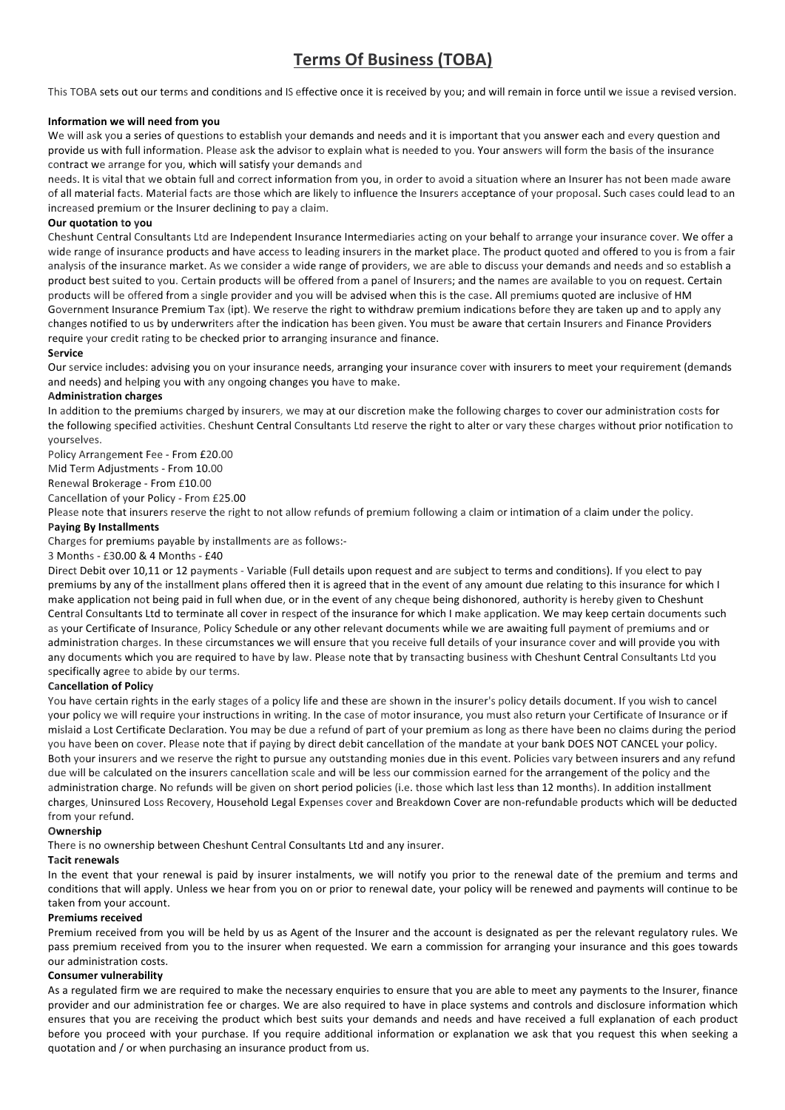# **Terms Of Business (TOBA)**

This TOBA sets out our terms and conditions and IS effective once it is received by you; and will remain in force until we issue a revised version.

# **Information we will need from you**

We will ask you a series of questions to establish your demands and needs and it is important that you answer each and every question and provide us with full information. Please ask the advisor to explain what is needed to you. Your answers will form the basis of the insurance contract we arrange for you, which will satisfy your demands and

needs. It is vital that we obtain full and correct information from you, in order to avoid a situation where an Insurer has not been made aware of all material facts. Material facts are those which are likely to influence the Insurers acceptance of your proposal. Such cases could lead to an increased premium or the Insurer declining to pay a claim.

# **Our quotation to you**

Cheshunt Central Consultants Ltd are Independent Insurance Intermediaries acting on your behalf to arrange your insurance cover. We offer a wide range of insurance products and have access to leading insurers in the market place. The product quoted and offered to you is from a fair analysis of the insurance market. As we consider a wide range of providers, we are able to discuss your demands and needs and so establish a product best suited to you. Certain products will be offered from a panel of Insurers; and the names are available to you on request. Certain products will be offered from a single provider and you will be advised when this is the case. All premiums quoted are inclusive of HM Government Insurance Premium Tax (ipt). We reserve the right to withdraw premium indications before they are taken up and to apply any changes notified to us by underwriters after the indication has been given. You must be aware that certain Insurers and Finance Providers require your credit rating to be checked prior to arranging insurance and finance.

# **Service**

Our service includes: advising you on your insurance needs, arranging your insurance cover with insurers to meet your requirement (demands and needs) and helping you with any ongoing changes you have to make.

# **Administration charges**

In addition to the premiums charged by insurers, we may at our discretion make the following charges to cover our administration costs for the following specified activities. Cheshunt Central Consultants Ltd reserve the right to alter or vary these charges without prior notification to yourselves. 

Policy Arrangement Fee - From £20.00

Mid Term Adjustments - From 10.00

Renewal Brokerage - From £10.00

Cancellation of your Policy - From £25.00

Please note that insurers reserve the right to not allow refunds of premium following a claim or intimation of a claim under the policy.

# **Paying By Installments**

Charges for premiums payable by installments are as follows:-

3 Months - £30.00 & 4 Months - £40

Direct Debit over 10,11 or 12 payments - Variable (Full details upon request and are subject to terms and conditions). If you elect to pay premiums by any of the installment plans offered then it is agreed that in the event of any amount due relating to this insurance for which I make application not being paid in full when due, or in the event of any cheque being dishonored, authority is hereby given to Cheshunt Central Consultants Ltd to terminate all cover in respect of the insurance for which I make application. We may keep certain documents such as your Certificate of Insurance, Policy Schedule or any other relevant documents while we are awaiting full payment of premiums and or administration charges. In these circumstances we will ensure that you receive full details of your insurance cover and will provide you with any documents which you are required to have by law. Please note that by transacting business with Cheshunt Central Consultants Ltd you specifically agree to abide by our terms.

# **Cancellation of Policy**

You have certain rights in the early stages of a policy life and these are shown in the insurer's policy details document. If you wish to cancel your policy we will require your instructions in writing. In the case of motor insurance, you must also return your Certificate of Insurance or if mislaid a Lost Certificate Declaration. You may be due a refund of part of your premium as long as there have been no claims during the period you have been on cover. Please note that if paying by direct debit cancellation of the mandate at your bank DOES NOT CANCEL your policy. Both your insurers and we reserve the right to pursue any outstanding monies due in this event. Policies vary between insurers and any refund due will be calculated on the insurers cancellation scale and will be less our commission earned for the arrangement of the policy and the administration charge. No refunds will be given on short period policies (i.e. those which last less than 12 months). In addition installment charges, Uninsured Loss Recovery, Household Legal Expenses cover and Breakdown Cover are non-refundable products which will be deducted from your refund.

#### **Ownership**

There is no ownership between Cheshunt Central Consultants Ltd and any insurer.

# **Tacit renewals**

In the event that your renewal is paid by insurer instalments, we will notify you prior to the renewal date of the premium and terms and conditions that will apply. Unless we hear from you on or prior to renewal date, your policy will be renewed and payments will continue to be taken from your account.

# **Premiums received**

Premium received from you will be held by us as Agent of the Insurer and the account is designated as per the relevant regulatory rules. We pass premium received from you to the insurer when requested. We earn a commission for arranging your insurance and this goes towards our administration costs.

# **Consumer vulnerability**

As a regulated firm we are required to make the necessary enquiries to ensure that you are able to meet any payments to the Insurer, finance provider and our administration fee or charges. We are also required to have in place systems and controls and disclosure information which ensures that you are receiving the product which best suits your demands and needs and have received a full explanation of each product before you proceed with your purchase. If you require additional information or explanation we ask that you request this when seeking a quotation and / or when purchasing an insurance product from us.